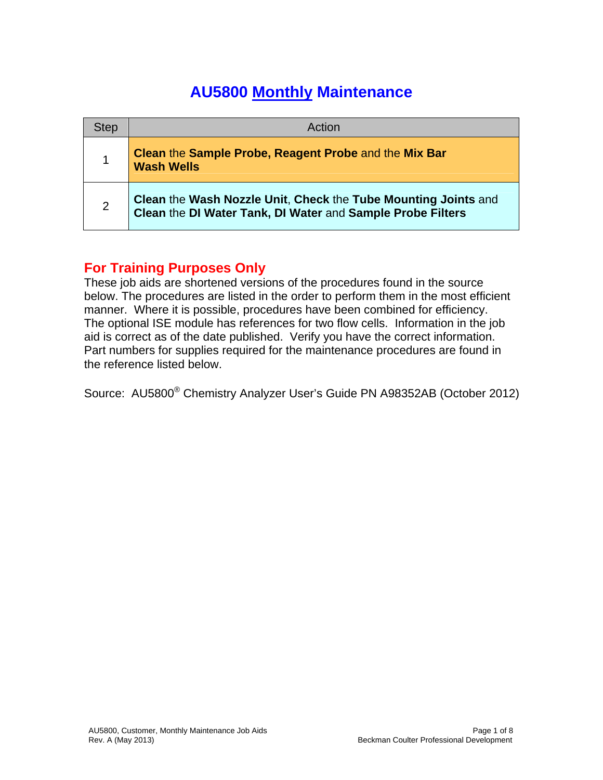## **AU5800 Monthly Maintenance**

| <b>Step</b> | Action                                                                                                                       |
|-------------|------------------------------------------------------------------------------------------------------------------------------|
|             | Clean the Sample Probe, Reagent Probe and the Mix Bar<br><b>Wash Wells</b>                                                   |
| 2           | Clean the Wash Nozzle Unit, Check the Tube Mounting Joints and<br>Clean the DI Water Tank, DI Water and Sample Probe Filters |

## **For Training Purposes Only**

These job aids are shortened versions of the procedures found in the source below. The procedures are listed in the order to perform them in the most efficient manner. Where it is possible, procedures have been combined for efficiency. The optional ISE module has references for two flow cells. Information in the job aid is correct as of the date published. Verify you have the correct information. Part numbers for supplies required for the maintenance procedures are found in the reference listed below.

Source: AU5800® Chemistry Analyzer User's Guide PN A98352AB (October 2012)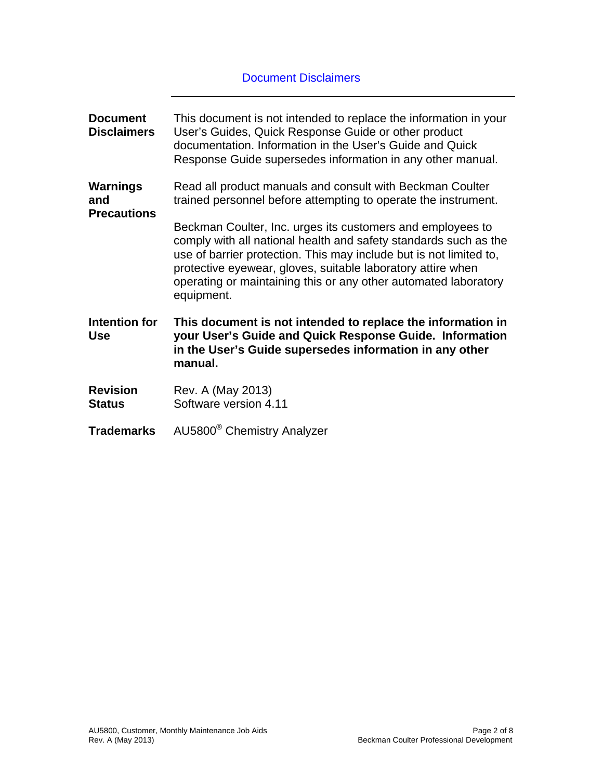## Document Disclaimers

| <b>Document</b><br><b>Disclaimers</b>        | This document is not intended to replace the information in your<br>User's Guides, Quick Response Guide or other product<br>documentation. Information in the User's Guide and Quick<br>Response Guide supersedes information in any other manual.                                                                                                   |
|----------------------------------------------|------------------------------------------------------------------------------------------------------------------------------------------------------------------------------------------------------------------------------------------------------------------------------------------------------------------------------------------------------|
| <b>Warnings</b><br>and<br><b>Precautions</b> | Read all product manuals and consult with Beckman Coulter<br>trained personnel before attempting to operate the instrument.                                                                                                                                                                                                                          |
|                                              | Beckman Coulter, Inc. urges its customers and employees to<br>comply with all national health and safety standards such as the<br>use of barrier protection. This may include but is not limited to,<br>protective eyewear, gloves, suitable laboratory attire when<br>operating or maintaining this or any other automated laboratory<br>equipment. |
| Intention for<br><b>Use</b>                  | This document is not intended to replace the information in<br>your User's Guide and Quick Response Guide. Information<br>in the User's Guide supersedes information in any other<br>manual.                                                                                                                                                         |
| <b>Revision</b><br><b>Status</b>             | Rev. A (May 2013)<br>Software version 4.11                                                                                                                                                                                                                                                                                                           |
| <b>Trademarks</b>                            | AU5800 <sup>®</sup> Chemistry Analyzer                                                                                                                                                                                                                                                                                                               |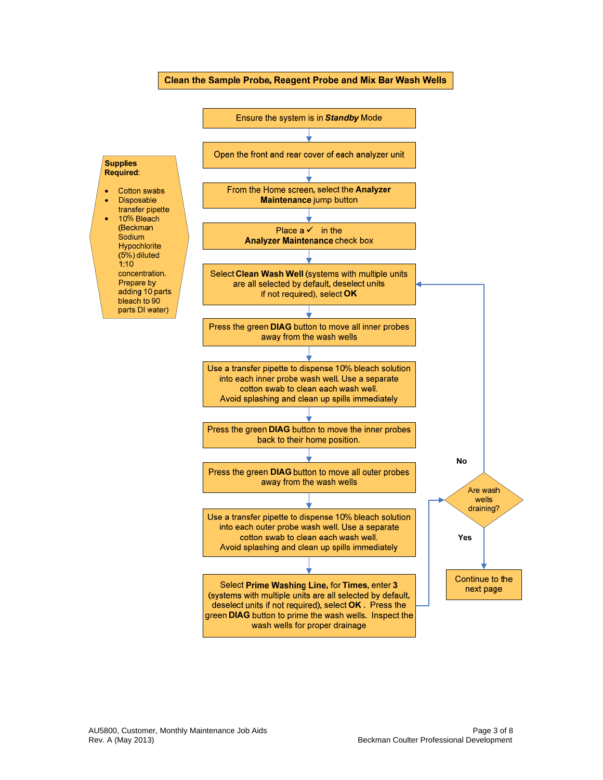

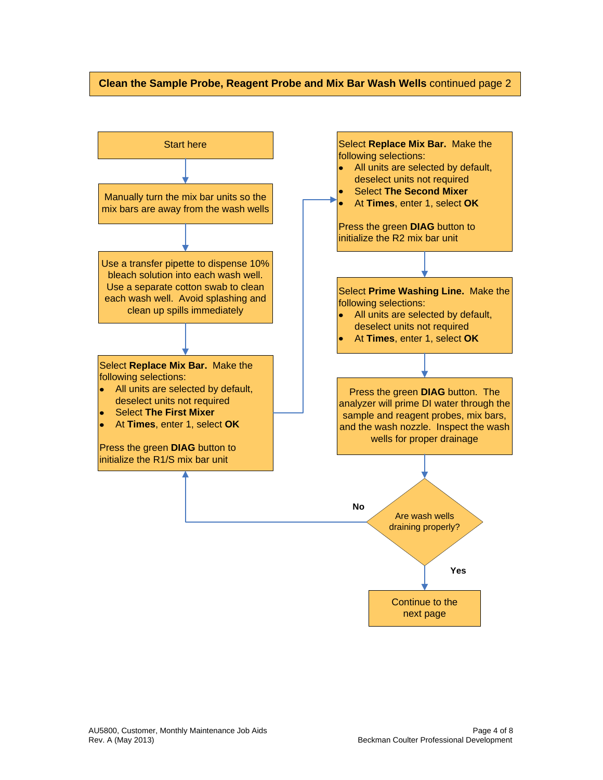## **Clean the Sample Probe, Reagent Probe and Mix Bar Wash Wells** continued page 2

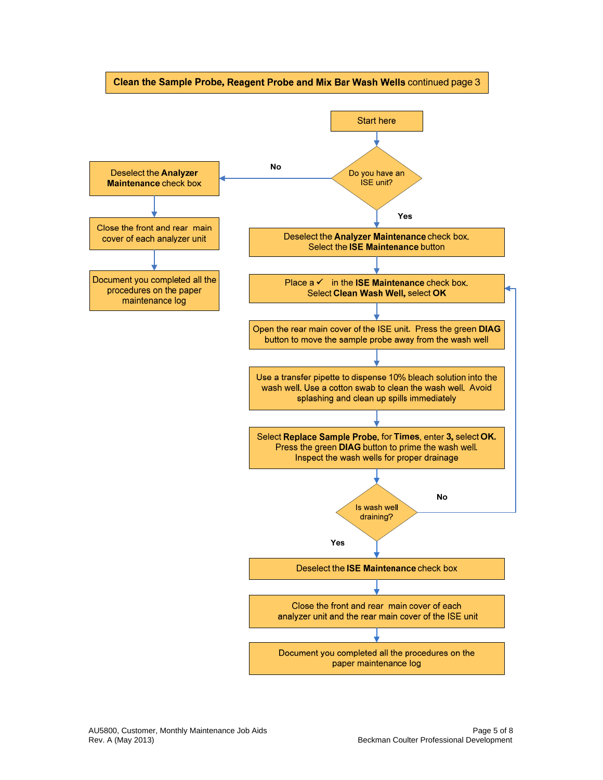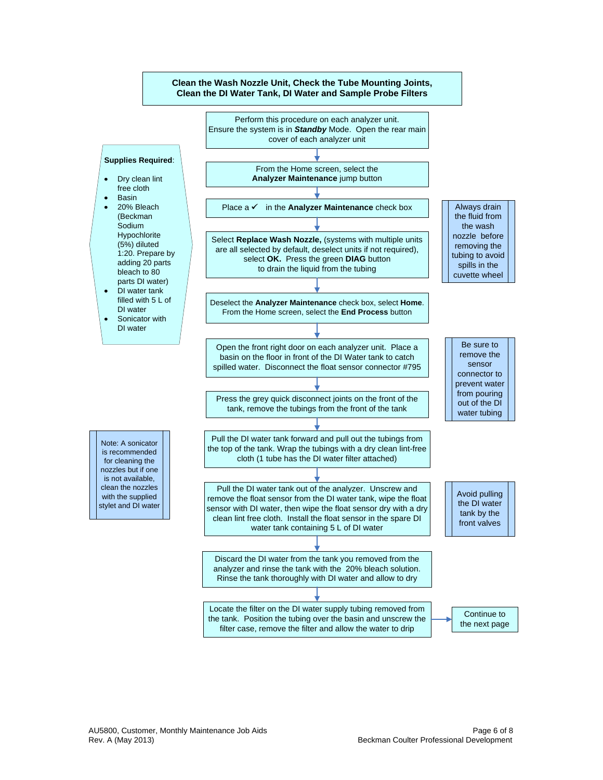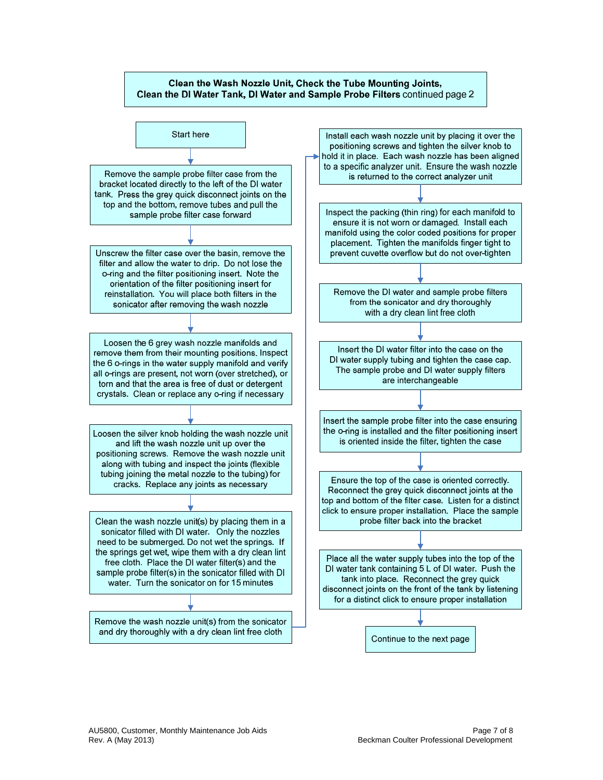